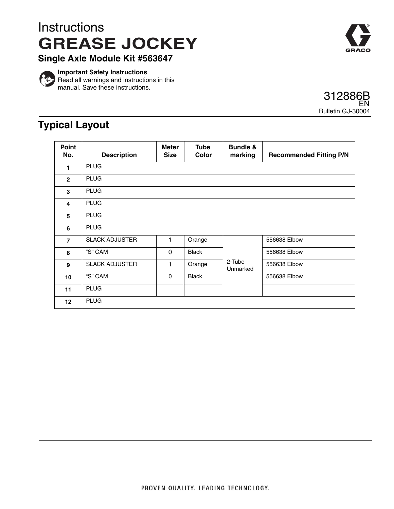## **Instructions GREASE JOCKEY**



**Single Axle Module Kit #563647**



**Important Safety Instructions**  $\triangleright$  Read all warnings and instructions in this manual. Save these instructions.



## **Typical Layout**

| Point<br>No.    | <b>Description</b>    | <b>Meter</b><br><b>Size</b> | <b>Tube</b><br>Color | <b>Bundle &amp;</b><br>marking | <b>Recommended Fitting P/N</b> |
|-----------------|-----------------------|-----------------------------|----------------------|--------------------------------|--------------------------------|
| 1               | <b>PLUG</b>           |                             |                      |                                |                                |
| $\overline{2}$  | <b>PLUG</b>           |                             |                      |                                |                                |
| 3               | <b>PLUG</b>           |                             |                      |                                |                                |
| 4               | <b>PLUG</b>           |                             |                      |                                |                                |
| 5               | <b>PLUG</b>           |                             |                      |                                |                                |
| 6               | <b>PLUG</b>           |                             |                      |                                |                                |
| $\overline{7}$  | <b>SLACK ADJUSTER</b> | 1                           | Orange               |                                | 556638 Elbow                   |
| 8               | "S" CAM               | $\mathbf{0}$                | <b>Black</b>         |                                | 556638 Elbow                   |
| 9               | <b>SLACK ADJUSTER</b> | 1                           | Orange               | 2-Tube<br>Unmarked             | 556638 Elbow                   |
| 10              | "S" CAM               | $\mathbf{0}$                | <b>Black</b>         |                                | 556638 Elbow                   |
| 11              | <b>PLUG</b>           |                             |                      |                                |                                |
| 12 <sup>2</sup> | <b>PLUG</b>           |                             |                      |                                |                                |